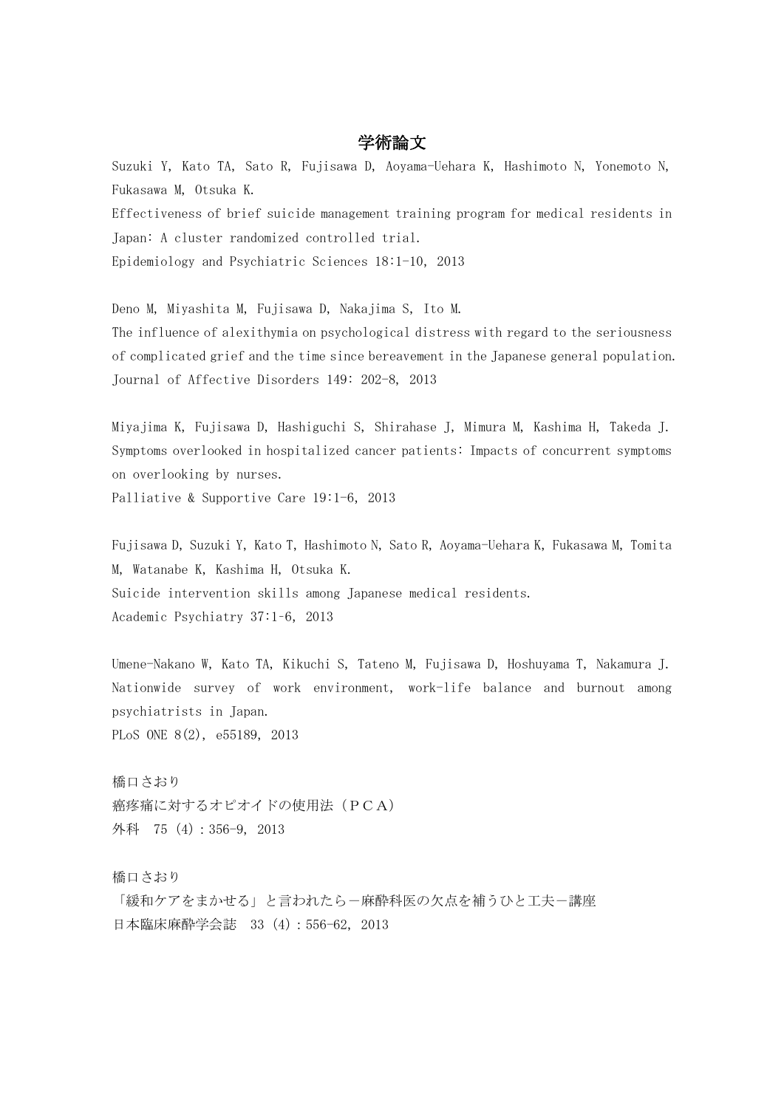## 学術論文

Suzuki Y, Kato TA, Sato R, Fujisawa D, Aoyama-Uehara K, Hashimoto N, Yonemoto N, Fukasawa M, Otsuka K. Effectiveness of brief suicide management training program for medical residents in Japan: A cluster randomized controlled trial.

Epidemiology and Psychiatric Sciences 18:1-10,2013

Deno M, Miyashita M, Fujisawa D, Nakajima S, Ito M.

The influence of alexithymia on psychological distress with regard to the seriousness of complicated grief and the time since bereavement in the Japanese general population. Journal of Affective Disorders 149: 202-8, 2013

Miyajima K, Fujisawa D, Hashiguchi S, Shirahase J, Mimura M, Kashima H, Takeda J. Symptoms overlooked in hospitalized cancer patients: Impacts of concurrent symptoms on overlooking by nurses.

Palliative & Supportive Care 19:1-6, 2013

Fujisawa D, Suzuki Y, Kato T, Hashimoto N, Sato R, Aoyama-Uehara K, Fukasawa M, Tomita M, Watanabe K, Kashima H, Otsuka K. Suicide intervention skills among Japanese medical residents. Academic Psychiatry 37:1-6, 2013

Umene-Nakano W, Kato TA, Kikuchi S, Tateno M, Fujisawa D, Hoshuyama T, Nakamura J. Nationwide survey of work environment, work-life balance and burnout among psychiatrists in Japan. PLoS ONE 8(2), e55189, 2013

橋口さおり 癌疼痛に対するオピオイドの使用法(PCA) 外科 75(4):356-9, 2013

橋口さおり

「緩和ケアをまかせる」と言われたら一麻酔科医の欠点を補うひと工夫ー講座 日本臨床麻酔学会誌 33(4):556-62, 2013